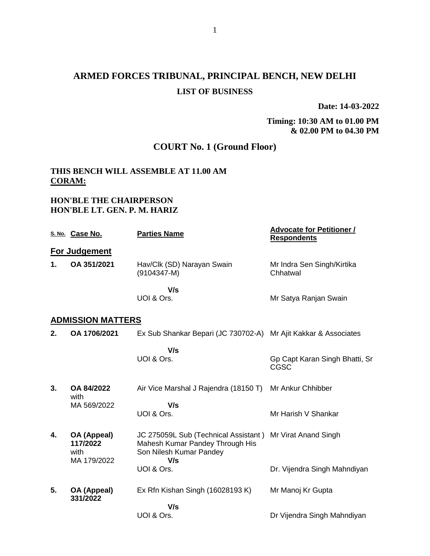# **ARMED FORCES TRIBUNAL, PRINCIPAL BENCH, NEW DELHI LIST OF BUSINESS**

**Date: 14-03-2022**

## **Timing: 10:30 AM to 01.00 PM & 02.00 PM to 04.30 PM**

# **COURT No. 1 (Ground Floor)**

## **THIS BENCH WILL ASSEMBLE AT 11.00 AM CORAM:**

## **HON'BLE THE CHAIRPERSON HON'BLE LT. GEN. P. M. HARIZ**

|    | S. No. Case No.                 | <b>Parties Name</b>                                                                                | <b>Advocate for Petitioner /</b><br><b>Respondents</b> |
|----|---------------------------------|----------------------------------------------------------------------------------------------------|--------------------------------------------------------|
|    | For Judgement                   |                                                                                                    |                                                        |
| 1. | OA 351/2021                     | Hav/Clk (SD) Narayan Swain<br>$(9104347 - M)$                                                      | Mr Indra Sen Singh/Kirtika<br>Chhatwal                 |
|    |                                 | V/s<br>UOI & Ors.                                                                                  | Mr Satya Ranjan Swain                                  |
|    | <b>ADMISSION MATTERS</b>        |                                                                                                    |                                                        |
| 2. | OA 1706/2021                    | Ex Sub Shankar Bepari (JC 730702-A)                                                                | Mr Ajit Kakkar & Associates                            |
|    |                                 | V/s<br>UOI & Ors.                                                                                  | Gp Capt Karan Singh Bhatti, Sr                         |
|    |                                 |                                                                                                    | CGSC                                                   |
| 3. | OA 84/2022<br>with              | Air Vice Marshal J Rajendra (18150 T)                                                              | Mr Ankur Chhibber                                      |
|    | MA 569/2022                     | V/s                                                                                                |                                                        |
|    |                                 | UOI & Ors.                                                                                         | Mr Harish V Shankar                                    |
| 4. | OA (Appeal)<br>117/2022<br>with | JC 275059L Sub (Technical Assistant)<br>Mahesh Kumar Pandey Through His<br>Son Nilesh Kumar Pandey | Mr Virat Anand Singh                                   |
|    | MA 179/2022                     | V/s<br>UOI & Ors.                                                                                  |                                                        |
|    |                                 |                                                                                                    | Dr. Vijendra Singh Mahndiyan                           |
| 5. | OA (Appeal)<br>331/2022         | Ex Rfn Kishan Singh (16028193 K)                                                                   | Mr Manoj Kr Gupta                                      |
|    |                                 | V/s                                                                                                |                                                        |
|    |                                 | UOI & Ors.                                                                                         | Dr Vijendra Singh Mahndiyan                            |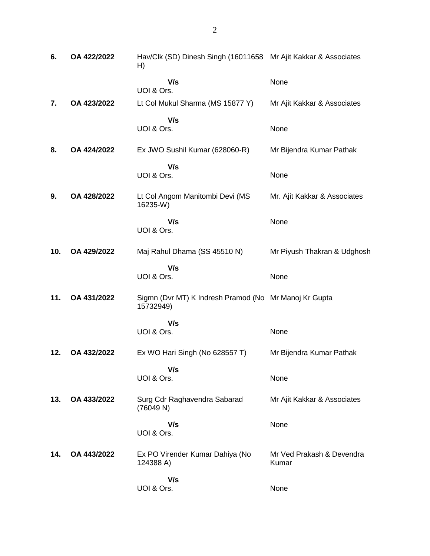| 6.  | OA 422/2022 | Hav/Clk (SD) Dinesh Singh (16011658 Mr Ajit Kakkar & Associates<br>H) |                                    |
|-----|-------------|-----------------------------------------------------------------------|------------------------------------|
|     |             | V/s<br>UOI & Ors.                                                     | None                               |
| 7.  | OA 423/2022 | Lt Col Mukul Sharma (MS 15877 Y)                                      | Mr Ajit Kakkar & Associates        |
|     |             | V/s<br>UOI & Ors.                                                     | None                               |
| 8.  | OA 424/2022 | Ex JWO Sushil Kumar (628060-R)                                        | Mr Bijendra Kumar Pathak           |
|     |             | V/s                                                                   |                                    |
|     |             | UOI & Ors.                                                            | None                               |
| 9.  | OA 428/2022 | Lt Col Angom Manitombi Devi (MS<br>16235-W)                           | Mr. Ajit Kakkar & Associates       |
|     |             | V/s<br>UOI & Ors.                                                     | None                               |
| 10. | OA 429/2022 | Maj Rahul Dhama (SS 45510 N)                                          | Mr Piyush Thakran & Udghosh        |
|     |             | V/s<br>UOI & Ors.                                                     | None                               |
|     |             |                                                                       |                                    |
| 11. | OA 431/2022 | Sigmn (Dvr MT) K Indresh Pramod (No Mr Manoj Kr Gupta<br>15732949)    |                                    |
|     |             | V/s                                                                   |                                    |
|     |             | UOI & Ors.                                                            | None                               |
| 12. | OA 432/2022 | Ex WO Hari Singh (No 628557 T)                                        | Mr Bijendra Kumar Pathak           |
|     |             | V/s                                                                   |                                    |
|     |             | UOI & Ors.                                                            | None                               |
| 13. | OA 433/2022 | Surg Cdr Raghavendra Sabarad<br>(76049 N)                             | Mr Ajit Kakkar & Associates        |
|     |             | V/s<br>UOI & Ors.                                                     | None                               |
| 14. | OA 443/2022 | Ex PO Virender Kumar Dahiya (No<br>124388 A)                          | Mr Ved Prakash & Devendra<br>Kumar |
|     |             | V/s<br>UOI & Ors.                                                     | None                               |
|     |             |                                                                       |                                    |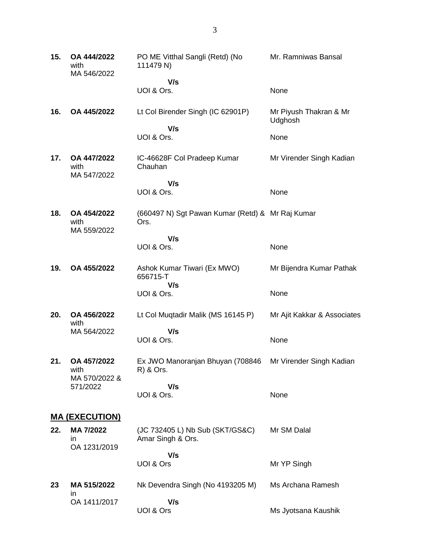| 15. | OA 444/2022<br>with<br>MA 546/2022        | PO ME Vitthal Sangli (Retd) (No<br>111479 N)             | Mr. Ramniwas Bansal               |
|-----|-------------------------------------------|----------------------------------------------------------|-----------------------------------|
|     |                                           | V/s<br>UOI & Ors.                                        | None                              |
| 16. | OA 445/2022                               | Lt Col Birender Singh (IC 62901P)                        | Mr Piyush Thakran & Mr<br>Udghosh |
|     |                                           | V/s<br>UOI & Ors.                                        | None                              |
| 17. | <b>OA 447/2022</b><br>with<br>MA 547/2022 | IC-46628F Col Pradeep Kumar<br>Chauhan                   | Mr Virender Singh Kadian          |
|     |                                           | V/s<br>UOI & Ors.                                        | None                              |
| 18. | OA 454/2022<br>with<br>MA 559/2022        | (660497 N) Sgt Pawan Kumar (Retd) & Mr Raj Kumar<br>Ors. |                                   |
|     |                                           | V/s<br>UOI & Ors.                                        | None                              |
| 19. | OA 455/2022                               | Ashok Kumar Tiwari (Ex MWO)<br>656715-T<br>V/s           | Mr Bijendra Kumar Pathak          |
|     |                                           | UOI & Ors.                                               | None                              |
| 20. | OA 456/2022<br>with                       | Lt Col Muqtadir Malik (MS 16145 P)                       | Mr Ajit Kakkar & Associates       |
|     | MA 564/2022                               | V/s<br>UOI & Ors.                                        | None                              |
| 21. | OA 457/2022<br>with<br>MA 570/2022 &      | Ex JWO Manoranjan Bhuyan (708846<br>R) & Ors.            | Mr Virender Singh Kadian          |
|     | 571/2022                                  | V/s<br>UOI & Ors.                                        | None                              |
|     | <u>MA (EXECUTION)</u>                     |                                                          |                                   |
| 22. | MA 7/2022<br>ın<br>OA 1231/2019           | (JC 732405 L) Nb Sub (SKT/GS&C)<br>Amar Singh & Ors.     | Mr SM Dalal                       |
|     |                                           | V/s<br>UOI & Ors                                         | Mr YP Singh                       |
| 23  | MA 515/2022<br>in                         | Nk Devendra Singh (No 4193205 M)                         | Ms Archana Ramesh                 |
|     | OA 1411/2017                              | V/s<br>UOI & Ors                                         | Ms Jyotsana Kaushik               |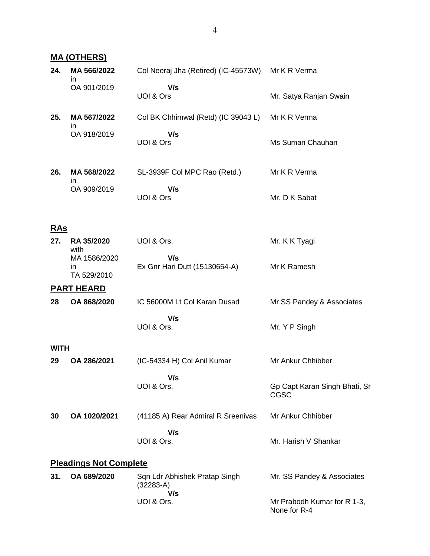|             | <b>MA (OTHERS)</b>                |                                                   |                                              |
|-------------|-----------------------------------|---------------------------------------------------|----------------------------------------------|
| 24.         | MA 566/2022                       | Col Neeraj Jha (Retired) (IC-45573W) Mr K R Verma |                                              |
|             | in.<br>OA 901/2019                | V/s<br>UOI & Ors                                  | Mr. Satya Ranjan Swain                       |
| 25.         | MA 567/2022<br>in                 | Col BK Chhimwal (Retd) (IC 39043 L)               | Mr K R Verma                                 |
|             | OA 918/2019                       | V/s<br>UOI & Ors                                  | Ms Suman Chauhan                             |
| 26.         | MA 568/2022<br>ın                 | SL-3939F Col MPC Rao (Retd.)                      | Mr K R Verma                                 |
|             | OA 909/2019                       | V/s<br>UOI & Ors                                  | Mr. D K Sabat                                |
| <u>RAs</u>  |                                   |                                                   |                                              |
| 27.         | RA 35/2020<br>with                | UOI & Ors.                                        | Mr. K K Tyagi                                |
|             | MA 1586/2020<br>in<br>TA 529/2010 | V/s<br>Ex Gnr Hari Dutt (15130654-A)              | Mr K Ramesh                                  |
|             | <b>PART HEARD</b>                 |                                                   |                                              |
| 28          | OA 868/2020                       | IC 56000M Lt Col Karan Dusad                      | Mr SS Pandey & Associates                    |
|             |                                   | V/s<br>UOI & Ors.                                 | Mr. Y P Singh                                |
| <b>WITH</b> |                                   |                                                   |                                              |
| 29          | OA 286/2021                       | (IC-54334 H) Col Anil Kumar                       | Mr Ankur Chhibber                            |
|             |                                   | V/s<br>UOI & Ors.                                 | Gp Capt Karan Singh Bhati, Sr<br><b>CGSC</b> |
| 30          | OA 1020/2021                      | (41185 A) Rear Admiral R Sreenivas                | Mr Ankur Chhibber                            |
|             |                                   | V/s<br>UOI & Ors.                                 | Mr. Harish V Shankar                         |
|             | <b>Pleadings Not Complete</b>     |                                                   |                                              |
| 31.         | OA 689/2020                       | Sqn Ldr Abhishek Pratap Singh<br>$(32283-A)$      | Mr. SS Pandey & Associates                   |
|             |                                   | V/s<br>UOI & Ors.                                 | Mr Prabodh Kumar for R 1-3,<br>None for R-4  |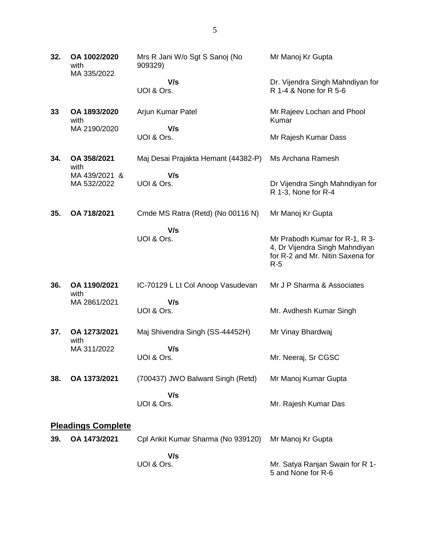| 32. | OA 1002/2020<br>with<br>MA 335/2022 | Mrs R Jani W/o Sgt S Sanoj (No<br>909329) | Mr Manoj Kr Gupta                                                                                             |
|-----|-------------------------------------|-------------------------------------------|---------------------------------------------------------------------------------------------------------------|
|     |                                     | V/s<br>UOI & Ors.                         | Dr. Vijendra Singh Mahndiyan for<br>R 1-4 & None for R 5-6                                                    |
| 33  | OA 1893/2020<br>with                | Arjun Kumar Patel                         | Mr Rajeev Lochan and Phool<br>Kumar                                                                           |
|     | MA 2190/2020                        | V/s<br>UOI & Ors.                         | Mr Rajesh Kumar Dass                                                                                          |
| 34. | OA 358/2021<br>with                 | Maj Desai Prajakta Hemant (44382-P)       | Ms Archana Ramesh                                                                                             |
|     | MA 439/2021 &<br>MA 532/2022        | V/s<br>UOI & Ors.                         | Dr Vijendra Singh Mahndiyan for<br>R 1-3, None for R-4                                                        |
| 35. | OA 718/2021                         | Cmde MS Ratra (Retd) (No 00116 N)         | Mr Manoj Kr Gupta                                                                                             |
|     |                                     | V/s<br>UOI & Ors.                         | Mr Prabodh Kumar for R-1, R 3-<br>4, Dr Vijendra Singh Mahndiyan<br>for R-2 and Mr. Nitin Saxena for<br>$R-5$ |
| 36. | OA 1190/2021<br>with                | IC-70129 L Lt Col Anoop Vasudevan         | Mr J P Sharma & Associates                                                                                    |
|     | MA 2861/2021                        | V/s<br>UOI & Ors.                         | Mr. Avdhesh Kumar Singh                                                                                       |
| 37. | OA 1273/2021<br>with                | Maj Shivendra Singh (SS-44452H)           | Mr Vinay Bhardwaj                                                                                             |
|     | MA 311/2022                         | V/s<br>UOI & Ors.                         | Mr. Neeraj, Sr CGSC                                                                                           |
| 38. | OA 1373/2021                        | (700437) JWO Balwant Singh (Retd)         | Mr Manoj Kumar Gupta                                                                                          |
|     |                                     | V/s<br>UOI & Ors.                         | Mr. Rajesh Kumar Das                                                                                          |
|     | <b>Pleadings Complete</b>           |                                           |                                                                                                               |
| 39. | OA 1473/2021                        | Cpl Ankit Kumar Sharma (No 939120)        | Mr Manoj Kr Gupta                                                                                             |
|     |                                     | V/s<br>UOI & Ors.                         | Mr. Satya Ranjan Swain for R 1-<br>5 and None for R-6                                                         |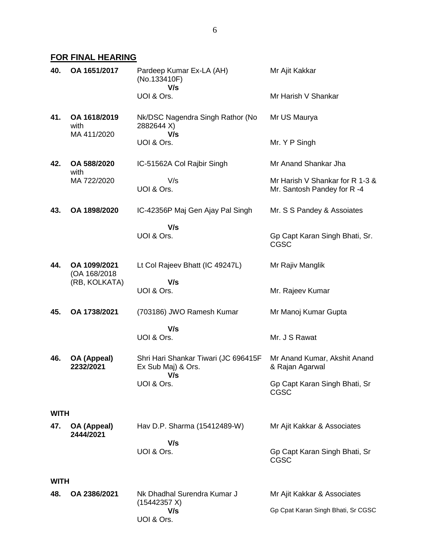# **FOR FINAL HEARING**

| 40.         | OA 1651/2017                        | Pardeep Kumar Ex-LA (AH)<br>(No.133410F)<br>V/s                   | Mr Ajit Kakkar                                                 |
|-------------|-------------------------------------|-------------------------------------------------------------------|----------------------------------------------------------------|
|             |                                     | UOI & Ors.                                                        | Mr Harish V Shankar                                            |
| 41.         | OA 1618/2019<br>with<br>MA 411/2020 | Nk/DSC Nagendra Singh Rathor (No<br>2882644 X)<br>V/s             | Mr US Maurya                                                   |
|             |                                     | UOI & Ors.                                                        | Mr. Y P Singh                                                  |
| 42.         | OA 588/2020<br>with                 | IC-51562A Col Rajbir Singh                                        | Mr Anand Shankar Jha                                           |
|             | MA 722/2020                         | V/s<br>UOI & Ors.                                                 | Mr Harish V Shankar for R 1-3 &<br>Mr. Santosh Pandey for R -4 |
| 43.         | OA 1898/2020                        | IC-42356P Maj Gen Ajay Pal Singh                                  | Mr. S S Pandey & Assoiates                                     |
|             |                                     | V/s<br>UOI & Ors.                                                 | Gp Capt Karan Singh Bhati, Sr.<br><b>CGSC</b>                  |
| 44.         | OA 1099/2021<br>(OA 168/2018)       | Lt Col Rajeev Bhatt (IC 49247L)                                   | Mr Rajiv Manglik                                               |
|             | (RB, KOLKATA)                       | V/s<br>UOI & Ors.                                                 | Mr. Rajeev Kumar                                               |
| 45.         | OA 1738/2021                        | (703186) JWO Ramesh Kumar                                         | Mr Manoj Kumar Gupta                                           |
|             |                                     | V/s<br>UOI & Ors.                                                 | Mr. J S Rawat                                                  |
|             |                                     |                                                                   |                                                                |
| 46.         | OA (Appeal)<br>2232/2021            | Shri Hari Shankar Tiwari (JC 696415F<br>Ex Sub Maj) & Ors.<br>V/s | Mr Anand Kumar, Akshit Anand<br>& Rajan Agarwal                |
|             |                                     | UOI & Ors.                                                        | Gp Capt Karan Singh Bhati, Sr<br>CGSC                          |
| <b>WITH</b> |                                     |                                                                   |                                                                |
| 47.         | OA (Appeal)<br>2444/2021            | Hav D.P. Sharma (15412489-W)                                      | Mr Ajit Kakkar & Associates                                    |
|             |                                     | V/s<br>UOI & Ors.                                                 | Gp Capt Karan Singh Bhati, Sr<br><b>CGSC</b>                   |
| <b>WITH</b> |                                     |                                                                   |                                                                |
| 48.         | OA 2386/2021                        | Nk Dhadhal Surendra Kumar J<br>(15442357 X)                       | Mr Ajit Kakkar & Associates                                    |
|             |                                     | V/s<br>UOI & Ors.                                                 | Gp Cpat Karan Singh Bhati, Sr CGSC                             |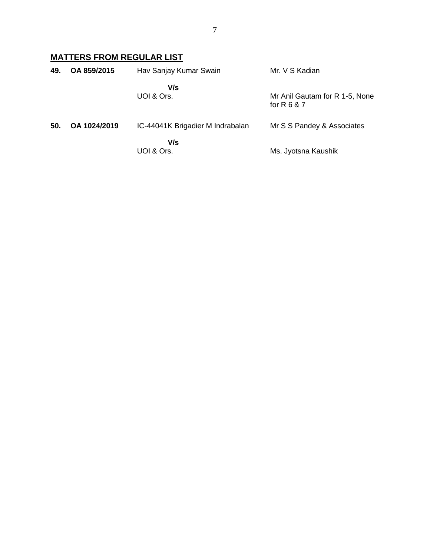# **MATTERS FROM REGULAR LIST**

| 49. | OA 859/2015  | Hav Sanjay Kumar Swain           | Mr. V S Kadian                                  |
|-----|--------------|----------------------------------|-------------------------------------------------|
|     |              | V/s<br>UOI & Ors.                | Mr Anil Gautam for R 1-5, None<br>for $R 6 8 7$ |
| 50. | OA 1024/2019 | IC-44041K Brigadier M Indrabalan | Mr S S Pandey & Associates                      |
|     |              | V/s<br>UOI & Ors.                | Ms. Jyotsna Kaushik                             |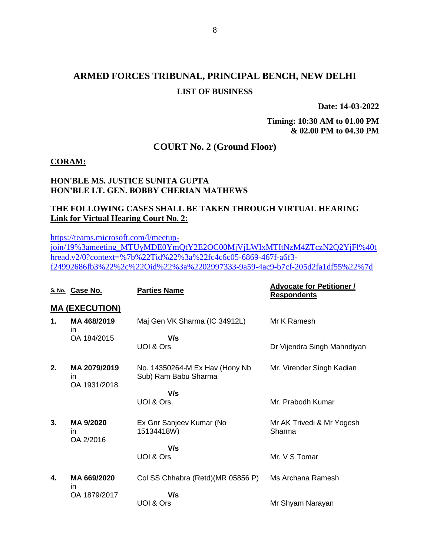# **ARMED FORCES TRIBUNAL, PRINCIPAL BENCH, NEW DELHI LIST OF BUSINESS**

**Date: 14-03-2022**

**Timing: 10:30 AM to 01.00 PM & 02.00 PM to 04.30 PM**

## **COURT No. 2 (Ground Floor)**

#### **CORAM:**

#### **HON'BLE MS. JUSTICE SUNITA GUPTA HON'BLE LT. GEN. BOBBY CHERIAN MATHEWS**

## **THE FOLLOWING CASES SHALL BE TAKEN THROUGH VIRTUAL HEARING Link for Virtual Hearing Court No. 2:**

[https://teams.microsoft.com/l/meetup-](https://teams.microsoft.com/l/meetup-join/19%3ameeting_MTUyMDE0YmQtY2E2OC00MjVjLWIxMTItNzM4ZTczN2Q2YjFl%40thread.v2/0?context=%7b%22Tid%22%3a%22fc4c6c05-6869-467f-a6f3-f24992686fb3%22%2c%22Oid%22%3a%2202997333-9a59-4ac9-b7cf-205d2fa1df55%22%7d)

[join/19%3ameeting\\_MTUyMDE0YmQtY2E2OC00MjVjLWIxMTItNzM4ZTczN2Q2YjFl%40t](https://teams.microsoft.com/l/meetup-join/19%3ameeting_MTUyMDE0YmQtY2E2OC00MjVjLWIxMTItNzM4ZTczN2Q2YjFl%40thread.v2/0?context=%7b%22Tid%22%3a%22fc4c6c05-6869-467f-a6f3-f24992686fb3%22%2c%22Oid%22%3a%2202997333-9a59-4ac9-b7cf-205d2fa1df55%22%7d) [hread.v2/0?context=%7b%22Tid%22%3a%22fc4c6c05-6869-467f-a6f3](https://teams.microsoft.com/l/meetup-join/19%3ameeting_MTUyMDE0YmQtY2E2OC00MjVjLWIxMTItNzM4ZTczN2Q2YjFl%40thread.v2/0?context=%7b%22Tid%22%3a%22fc4c6c05-6869-467f-a6f3-f24992686fb3%22%2c%22Oid%22%3a%2202997333-9a59-4ac9-b7cf-205d2fa1df55%22%7d) [f24992686fb3%22%2c%22Oid%22%3a%2202997333-9a59-4ac9-b7cf-205d2fa1df55%22%7d](https://teams.microsoft.com/l/meetup-join/19%3ameeting_MTUyMDE0YmQtY2E2OC00MjVjLWIxMTItNzM4ZTczN2Q2YjFl%40thread.v2/0?context=%7b%22Tid%22%3a%22fc4c6c05-6869-467f-a6f3-f24992686fb3%22%2c%22Oid%22%3a%2202997333-9a59-4ac9-b7cf-205d2fa1df55%22%7d)

|    | S. No. Case No.                    | <b>Parties Name</b>                                    | <b>Advocate for Petitioner /</b><br><b>Respondents</b> |
|----|------------------------------------|--------------------------------------------------------|--------------------------------------------------------|
|    | <b>MA (EXECUTION)</b>              |                                                        |                                                        |
| 1. | MA468/2019<br>in                   | Maj Gen VK Sharma (IC 34912L)                          | Mr K Ramesh                                            |
|    | OA 184/2015                        | V/s<br>UOI & Ors                                       | Dr Vijendra Singh Mahndiyan                            |
| 2. | MA 2079/2019<br>in<br>OA 1931/2018 | No. 14350264-M Ex Hav (Hony Nb<br>Sub) Ram Babu Sharma | Mr. Virender Singh Kadian                              |
|    |                                    | V/s                                                    |                                                        |
|    |                                    | UOI & Ors.                                             | Mr. Prabodh Kumar                                      |
| 3. | MA 9/2020<br>in<br>OA 2/2016       | Ex Gnr Sanjeev Kumar (No<br>15134418W)                 | Mr AK Trivedi & Mr Yogesh<br>Sharma                    |
|    |                                    | V/s                                                    |                                                        |
|    |                                    | UOI & Ors                                              | Mr. V S Tomar                                          |
| 4. | MA 669/2020<br>in                  | Col SS Chhabra (Retd)(MR 05856 P)                      | Ms Archana Ramesh                                      |
|    | OA 1879/2017                       | V/s                                                    |                                                        |
|    |                                    | UOI & Ors                                              | Mr Shyam Narayan                                       |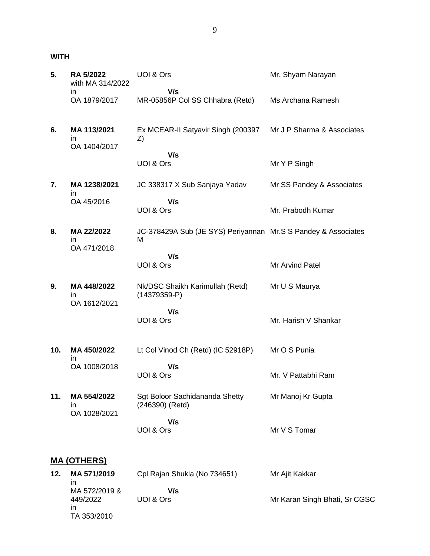**WITH**

| 5.  | <b>RA 5/2022</b><br>with MA 314/2022 | UOI & Ors                                                          | Mr. Shyam Narayan          |
|-----|--------------------------------------|--------------------------------------------------------------------|----------------------------|
|     | in<br>OA 1879/2017                   | V/s<br>MR-05856P Col SS Chhabra (Retd)                             | Ms Archana Ramesh          |
| 6.  | MA 113/2021<br>in<br>OA 1404/2017    | Ex MCEAR-II Satyavir Singh (200397<br>Z)                           | Mr J P Sharma & Associates |
|     |                                      | V/s<br>UOI & Ors                                                   | Mr Y P Singh               |
| 7.  | MA 1238/2021<br>in                   | JC 338317 X Sub Sanjaya Yadav                                      | Mr SS Pandey & Associates  |
|     | OA 45/2016                           | V/s<br>UOI & Ors                                                   | Mr. Prabodh Kumar          |
| 8.  | MA 22/2022<br>in<br>OA 471/2018      | JC-378429A Sub (JE SYS) Periyannan Mr.S S Pandey & Associates<br>M |                            |
|     |                                      | V/s<br>UOI & Ors                                                   | Mr Arvind Patel            |
| 9.  | MA 448/2022<br>in<br>OA 1612/2021    | Nk/DSC Shaikh Karimullah (Retd)<br>$(14379359 - P)$                | Mr U S Maurya              |
|     |                                      | V/s<br>UOI & Ors                                                   | Mr. Harish V Shankar       |
| 10. | MA 450/2022<br>in                    | Lt Col Vinod Ch (Retd) (IC 52918P)                                 | Mr O S Punia               |
|     | OA 1008/2018                         | V/s<br>UOI & Ors                                                   | Mr. V Pattabhi Ram         |
| 11. | MA 554/2022<br>in<br>OA 1028/2021    | Sgt Boloor Sachidananda Shetty<br>(246390) (Retd)                  | Mr Manoj Kr Gupta          |
|     |                                      | V/s<br>UOI & Ors                                                   | Mr V S Tomar               |
|     | <u>MA (OTHERS)</u>                   |                                                                    |                            |
| 12. | MA 571/2019<br>in.                   | Cpl Rajan Shukla (No 734651)                                       | Mr Ajit Kakkar             |

in MA 572/2019 & 449/2022 in TA 353/2010  **V/s** UOI & Ors Mr Karan Singh Bhati, Sr CGSC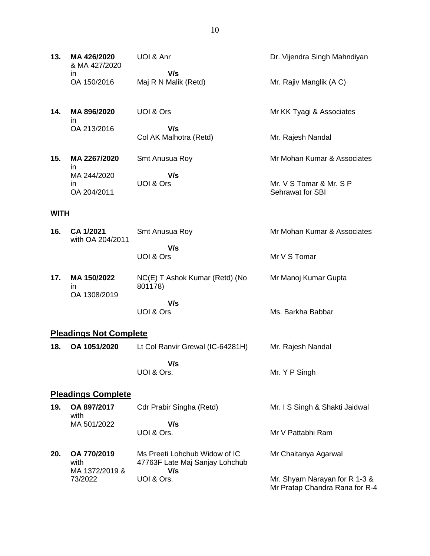| 13. | MA 426/2020<br>& MA 427/2020 | UOI & Anr                     | Dr. Vijendra Singh Mahndiyan |
|-----|------------------------------|-------------------------------|------------------------------|
|     | ın<br>OA 150/2016            | V/s<br>Maj R N Malik (Retd)   | Mr. Rajiv Manglik (AC)       |
| 14. | MA 896/2020<br>ın            | UOI & Ors                     | Mr KK Tyagi & Associates     |
|     | OA 213/2016                  | V/s<br>Col AK Malhotra (Retd) | Mr. Rajesh Nandal            |
| 15. | MA 2267/2020<br>ın           | Smt Anusua Roy                | Mr Mohan Kumar & Associates  |
|     | MA 244/2020<br>ın            | V/s<br>UOI & Ors              | Mr. V S Tomar & Mr. S P      |

#### **WITH**

OA 204/2011

| 16. | CA 1/2021<br>with OA 204/2011 | Smt Anusua Roy                            | Mr Mohan Kumar & Associates |
|-----|-------------------------------|-------------------------------------------|-----------------------------|
|     |                               | V/s<br>UOI & Ors                          | Mr V S Tomar                |
| 17. | MA 150/2022<br>ın             | NC(E) T Ashok Kumar (Retd) (No<br>801178) | Mr Manoj Kumar Gupta        |
|     | OA 1308/2019                  |                                           |                             |

 **V/s** UOI & Ors

UOI & Ors.

# **Pleadings Not Complete**

**18. OA 1051/2020** Lt Col Ranvir Grewal (IC-64281H)  **V/s** UOI & Ors. Mr. Rajesh Nandal Mr. Y P Singh

## **Pleadings Complete**

73/2022

| 19. | OA 897/2017<br>with                   | Cdr Prabir Singha (Retd)                                               | Mr. I S Singh & Shakti Jaidwal |
|-----|---------------------------------------|------------------------------------------------------------------------|--------------------------------|
|     | MA 501/2022                           | V/s<br>UOI & Ors.                                                      | Mr V Pattabhi Ram              |
| 20. | OA 770/2019<br>with<br>MA 1372/2019 & | Ms Preeti Lohchub Widow of IC<br>47763F Late Maj Sanjay Lohchub<br>V/s | Mr Chaitanya Agarwal           |

Mr. Shyam Narayan for R 1-3 & Mr Pratap Chandra Rana for R-4

Sehrawat for SBI

Ms. Barkha Babbar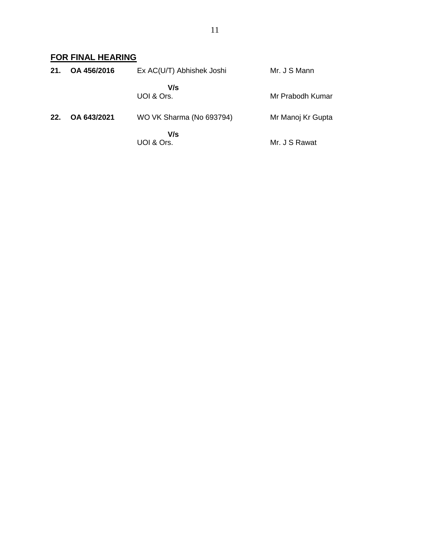# **FOR FINAL HEARING**

| 21. | OA 456/2016 | Ex AC(U/T) Abhishek Joshi | Mr. J S Mann      |
|-----|-------------|---------------------------|-------------------|
|     |             | V/s<br>UOI & Ors.         | Mr Prabodh Kumar  |
| 22. | OA 643/2021 | WO VK Sharma (No 693794)  | Mr Manoj Kr Gupta |
|     |             | V/s<br>UOI & Ors.         | Mr. J S Rawat     |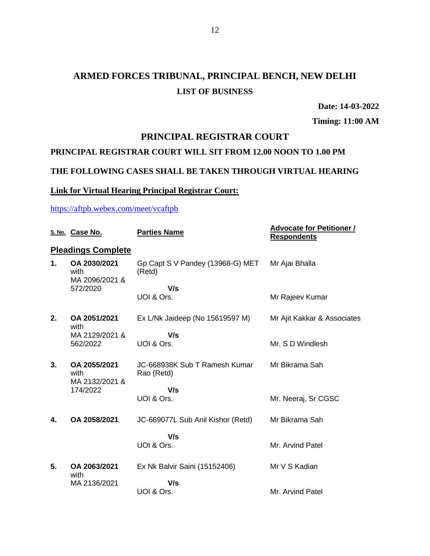# **ARMED FORCES TRIBUNAL, PRINCIPAL BENCH, NEW DELHI LIST OF BUSINESS**

**Date: 14-03-2022**

**Timing: 11:00 AM**

# **PRINCIPAL REGISTRAR COURT**

## **PRINCIPAL REGISTRAR COURT WILL SIT FROM 12.00 NOON TO 1.00 PM**

### **THE FOLLOWING CASES SHALL BE TAKEN THROUGH VIRTUAL HEARING**

### **Link for Virtual Hearing Principal Registrar Court:**

### <https://aftpb.webex.com/meet/vcaftpb>

|    | S. No. Case No.                                    | <b>Parties Name</b>                         | <b>Advocate for Petitioner /</b><br><b>Respondents</b> |
|----|----------------------------------------------------|---------------------------------------------|--------------------------------------------------------|
|    | <b>Pleadings Complete</b>                          |                                             |                                                        |
| 1. | OA 2030/2021<br>with<br>MA 2096/2021 &             | Gp Capt S V Pandey (13968-G) MET<br>(Retd)  | Mr Ajai Bhalla                                         |
|    | 572/2020                                           | V/s                                         |                                                        |
|    |                                                    | UOI & Ors.                                  | Mr Rajeev Kumar                                        |
| 2. | OA 2051/2021<br>with                               | Ex L/Nk Jaideep (No 15619597 M)             | Mr Ajit Kakkar & Associates                            |
|    | MA 2129/2021 &<br>562/2022                         | V/s                                         |                                                        |
|    |                                                    | UOI & Ors.                                  | Mr. S D Windlesh                                       |
| 3. | OA 2055/2021<br>with<br>MA 2132/2021 &<br>174/2022 | JC-668938K Sub T Ramesh Kumar<br>Rao (Retd) | Mr Bikrama Sah                                         |
|    |                                                    | V/s                                         |                                                        |
|    |                                                    | UOI & Ors.                                  | Mr. Neeraj, Sr CGSC                                    |
| 4. | OA 2058/2021                                       | JC-669077L Sub Anil Kishor (Retd)           | Mr Bikrama Sah                                         |
|    |                                                    | V/s                                         |                                                        |
|    |                                                    | UOI & Ors.                                  | Mr. Arvind Patel                                       |
| 5. | OA 2063/2021<br>with                               | Ex Nk Balvir Saini (15152406)               | Mr V S Kadian                                          |
|    | MA 2136/2021                                       | V/s                                         |                                                        |
|    |                                                    | UOI & Ors.                                  | Mr. Arvind Patel                                       |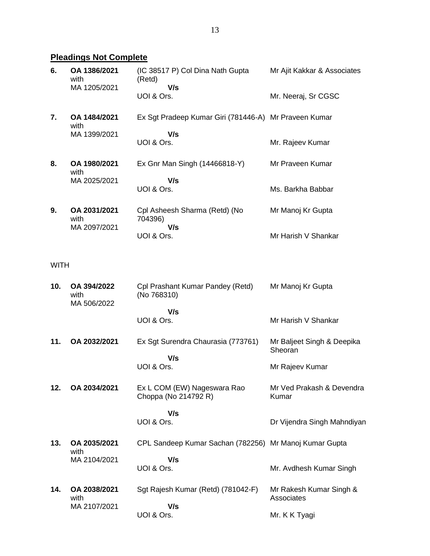# **Pleadings Not Complete**

| 6. | OA 1386/2021<br>with<br>MA 1205/2021 | (IC 38517 P) Col Dina Nath Gupta<br>(Retd)<br>V/s     | Mr Ajit Kakkar & Associates |
|----|--------------------------------------|-------------------------------------------------------|-----------------------------|
|    |                                      | UOI & Ors.                                            | Mr. Neeraj, Sr CGSC         |
| 7. | OA 1484/2021<br>with                 | Ex Sgt Pradeep Kumar Giri (781446-A) Mr Praveen Kumar |                             |
|    | MA 1399/2021                         | V/s                                                   |                             |
|    |                                      | UOI & Ors.                                            | Mr. Rajeev Kumar            |
| 8. | OA 1980/2021<br>with                 | Ex Gnr Man Singh (14466818-Y)                         | Mr Praveen Kumar            |
|    | MA 2025/2021                         | V/s                                                   |                             |
|    |                                      | UOI & Ors.                                            | Ms. Barkha Babbar           |
| 9. | OA 2031/2021<br>with                 | Cpl Asheesh Sharma (Retd) (No<br>704396)              | Mr Manoj Kr Gupta           |
|    | MA 2097/2021                         | V/s<br>UOI & Ors.                                     | Mr Harish V Shankar         |

WITH

| 10. | OA 394/2022<br>with<br>MA 506/2022 | Cpl Prashant Kumar Pandey (Retd)<br>(No 768310)        | Mr Manoj Kr Gupta                     |
|-----|------------------------------------|--------------------------------------------------------|---------------------------------------|
|     |                                    | V/s<br>UOI & Ors.                                      | Mr Harish V Shankar                   |
| 11. | OA 2032/2021                       | Ex Sgt Surendra Chaurasia (773761)                     | Mr Baljeet Singh & Deepika<br>Sheoran |
|     |                                    | V/s<br>UOI & Ors.                                      | Mr Rajeev Kumar                       |
| 12. | OA 2034/2021                       | Ex L COM (EW) Nageswara Rao<br>Choppa (No 214792 R)    | Mr Ved Prakash & Devendra<br>Kumar    |
|     |                                    | V/s<br>UOI & Ors.                                      | Dr Vijendra Singh Mahndiyan           |
| 13. | OA 2035/2021<br>with               | CPL Sandeep Kumar Sachan (782256) Mr Manoj Kumar Gupta |                                       |
|     | MA 2104/2021                       | V/s<br>UOI & Ors.                                      | Mr. Avdhesh Kumar Singh               |
| 14. | OA 2038/2021<br>with               | Sgt Rajesh Kumar (Retd) (781042-F)                     | Mr Rakesh Kumar Singh &<br>Associates |
|     | MA 2107/2021                       | V/s<br>UOI & Ors.                                      | Mr. K K Tyagi                         |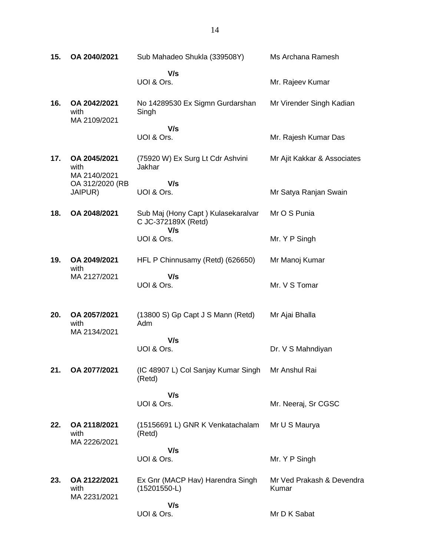| 15. | OA 2040/2021                                                       | Sub Mahadeo Shukla (339508Y)                                     | Ms Archana Ramesh                  |
|-----|--------------------------------------------------------------------|------------------------------------------------------------------|------------------------------------|
|     |                                                                    | V/s<br>UOI & Ors.                                                | Mr. Rajeev Kumar                   |
| 16. | OA 2042/2021<br>with<br>MA 2109/2021                               | No 14289530 Ex Sigmn Gurdarshan<br>Singh                         | Mr Virender Singh Kadian           |
|     |                                                                    | V/s<br>UOI & Ors.                                                | Mr. Rajesh Kumar Das               |
| 17. | OA 2045/2021<br>with<br>MA 2140/2021<br>OA 312/2020 (RB<br>JAIPUR) | (75920 W) Ex Surg Lt Cdr Ashvini<br>Jakhar                       | Mr Ajit Kakkar & Associates        |
|     |                                                                    | V/s<br>UOI & Ors.                                                | Mr Satya Ranjan Swain              |
| 18. | OA 2048/2021                                                       | Sub Maj (Hony Capt) Kulasekaralvar<br>C JC-372189X (Retd)<br>V/s | Mr O S Punia                       |
|     |                                                                    | UOI & Ors.                                                       | Mr. Y P Singh                      |
| 19. | OA 2049/2021<br>with                                               | HFL P Chinnusamy (Retd) (626650)                                 | Mr Manoj Kumar                     |
|     | MA 2127/2021                                                       | V/s<br>UOI & Ors.                                                | Mr. V S Tomar                      |
| 20. | OA 2057/2021<br>with<br>MA 2134/2021                               | (13800 S) Gp Capt J S Mann (Retd)<br>Adm                         | Mr Ajai Bhalla                     |
|     |                                                                    | V/s<br>UOI & Ors.                                                | Dr. V S Mahndiyan                  |
| 21. | OA 2077/2021                                                       | (IC 48907 L) Col Sanjay Kumar Singh<br>(Retd)                    | Mr Anshul Rai                      |
|     |                                                                    | V/s<br>UOI & Ors.                                                | Mr. Neeraj, Sr CGSC                |
| 22. | OA 2118/2021<br>with<br>MA 2226/2021                               | (15156691 L) GNR K Venkatachalam<br>(Retd)                       | Mr U S Maurya                      |
|     |                                                                    | V/s                                                              |                                    |
|     |                                                                    | UOI & Ors.                                                       | Mr. Y P Singh                      |
| 23. | OA 2122/2021<br>with<br>MA 2231/2021                               | Ex Gnr (MACP Hav) Harendra Singh<br>$(15201550-L)$               | Mr Ved Prakash & Devendra<br>Kumar |
|     |                                                                    | V/s<br>UOI & Ors.                                                | Mr D K Sabat                       |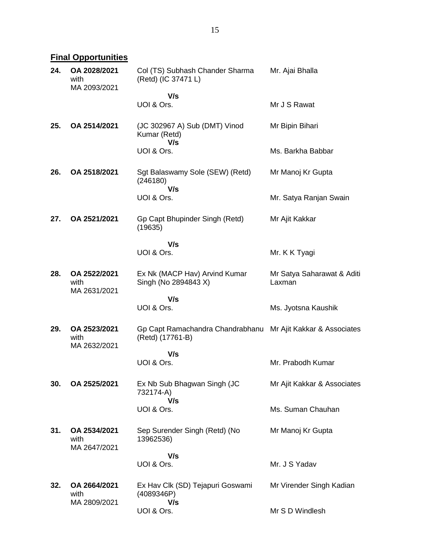**Final Opportunities** 

| 24. | OA 2028/2021<br>with<br>MA 2093/2021 | Col (TS) Subhash Chander Sharma<br>(Retd) (IC 37471 L)                           | Mr. Ajai Bhalla                      |
|-----|--------------------------------------|----------------------------------------------------------------------------------|--------------------------------------|
|     |                                      | V/s<br>UOI & Ors.                                                                | Mr J S Rawat                         |
| 25. | OA 2514/2021                         | (JC 302967 A) Sub (DMT) Vinod<br>Kumar (Retd)                                    | Mr Bipin Bihari                      |
|     |                                      | V/s<br>UOI & Ors.                                                                | Ms. Barkha Babbar                    |
| 26. | OA 2518/2021                         | Sgt Balaswamy Sole (SEW) (Retd)<br>(246180)                                      | Mr Manoj Kr Gupta                    |
|     |                                      | V/s<br>UOI & Ors.                                                                | Mr. Satya Ranjan Swain               |
| 27. | OA 2521/2021                         | Gp Capt Bhupinder Singh (Retd)<br>(19635)                                        | Mr Ajit Kakkar                       |
|     |                                      | V/s                                                                              |                                      |
|     |                                      | UOI & Ors.                                                                       | Mr. K K Tyagi                        |
| 28. | OA 2522/2021<br>with<br>MA 2631/2021 | Ex Nk (MACP Hav) Arvind Kumar<br>Singh (No 2894843 X)                            | Mr Satya Saharawat & Aditi<br>Laxman |
|     |                                      | V/s                                                                              |                                      |
|     |                                      | UOI & Ors.                                                                       | Ms. Jyotsna Kaushik                  |
| 29. | OA 2523/2021<br>with<br>MA 2632/2021 | Gp Capt Ramachandra Chandrabhanu Mr Ajit Kakkar & Associates<br>(Retd) (17761-B) |                                      |
|     |                                      | V/s                                                                              |                                      |
|     |                                      | UOI & Ors.                                                                       | Mr. Prabodh Kumar                    |
| 30. | OA 2525/2021                         | Ex Nb Sub Bhagwan Singh (JC<br>732174-A)<br>V/s                                  | Mr Ajit Kakkar & Associates          |
|     |                                      | UOI & Ors.                                                                       | Ms. Suman Chauhan                    |
| 31. | OA 2534/2021<br>with<br>MA 2647/2021 | Sep Surender Singh (Retd) (No<br>13962536)                                       | Mr Manoj Kr Gupta                    |
|     |                                      | V/s                                                                              |                                      |
|     |                                      | UOI & Ors.                                                                       | Mr. J S Yadav                        |
| 32. | OA 2664/2021<br>with<br>MA 2809/2021 | Ex Hav Clk (SD) Tejapuri Goswami<br>(4089346P)<br>V/s                            | Mr Virender Singh Kadian             |
|     |                                      | UOI & Ors.                                                                       | Mr S D Windlesh                      |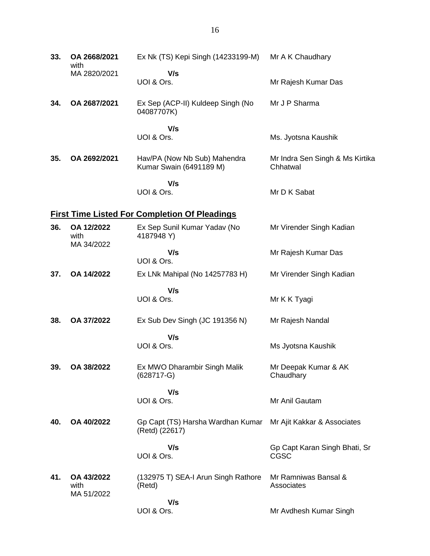| 33. | OA 2668/2021<br>with             | Ex Nk (TS) Kepi Singh (14233199-M)                      | Mr A K Chaudhary                             |
|-----|----------------------------------|---------------------------------------------------------|----------------------------------------------|
|     | MA 2820/2021                     | V/s<br>UOI & Ors.                                       | Mr Rajesh Kumar Das                          |
| 34. | OA 2687/2021                     | Ex Sep (ACP-II) Kuldeep Singh (No<br>04087707K)         | Mr J P Sharma                                |
|     |                                  | V/s<br>UOI & Ors.                                       | Ms. Jyotsna Kaushik                          |
| 35. | OA 2692/2021                     | Hav/PA (Now Nb Sub) Mahendra<br>Kumar Swain (6491189 M) | Mr Indra Sen Singh & Ms Kirtika<br>Chhatwal  |
|     |                                  | V/s<br>UOI & Ors.                                       | Mr D K Sabat                                 |
|     |                                  | <b>First Time Listed For Completion Of Pleadings</b>    |                                              |
| 36. | OA 12/2022<br>with               | Ex Sep Sunil Kumar Yadav (No<br>4187948 Y)              | Mr Virender Singh Kadian                     |
|     | MA 34/2022                       | V/s<br>UOI & Ors.                                       | Mr Rajesh Kumar Das                          |
| 37. | OA 14/2022                       | Ex LNk Mahipal (No 14257783 H)                          | Mr Virender Singh Kadian                     |
|     |                                  | V/s<br>UOI & Ors.                                       | Mr K K Tyagi                                 |
| 38. | OA 37/2022                       | Ex Sub Dev Singh (JC 191356 N)                          | Mr Rajesh Nandal                             |
|     |                                  | V/s                                                     |                                              |
|     |                                  | UOI & Ors.                                              | Ms Jyotsna Kaushik                           |
| 39. | OA 38/2022                       | Ex MWO Dharambir Singh Malik<br>$(628717 - G)$          | Mr Deepak Kumar & AK<br>Chaudhary            |
|     |                                  | V/s<br>UOI & Ors.                                       | Mr Anil Gautam                               |
| 40. | OA 40/2022                       | Gp Capt (TS) Harsha Wardhan Kumar<br>(Retd) (22617)     | Mr Ajit Kakkar & Associates                  |
|     |                                  | V/s<br>UOI & Ors.                                       | Gp Capt Karan Singh Bhati, Sr<br><b>CGSC</b> |
| 41. | OA 43/2022<br>with<br>MA 51/2022 | (132975 T) SEA-I Arun Singh Rathore<br>(Retd)           | Mr Ramniwas Bansal &<br>Associates           |
|     |                                  | V/s<br>UOI & Ors.                                       | Mr Avdhesh Kumar Singh                       |